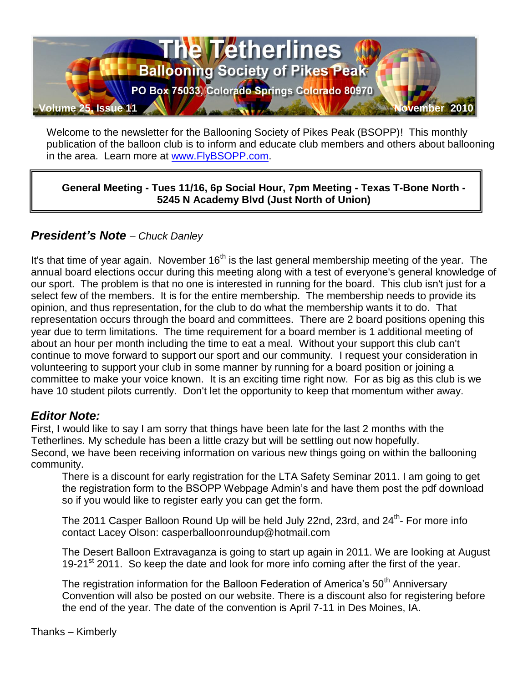

Welcome to the newsletter for the Ballooning Society of Pikes Peak (BSOPP)! This monthly publication of the balloon club is to inform and educate club members and others about ballooning in the area. Learn more at [www.FlyBSOPP.com.](http://www.flybsopp.com/)

**General Meeting - Tues 11/16, 6p Social Hour, 7pm Meeting - Texas T-Bone North - 5245 N Academy Blvd (Just North of Union)** 

## *President's Note – Chuck Danley*

It's that time of year again. November  $16<sup>th</sup>$  is the last general membership meeting of the year. The annual board elections occur during this meeting along with a test of everyone's general knowledge of our sport. The problem is that no one is interested in running for the board. This club isn't just for a select few of the members. It is for the entire membership. The membership needs to provide its opinion, and thus representation, for the club to do what the membership wants it to do. That representation occurs through the board and committees. There are 2 board positions opening this year due to term limitations. The time requirement for a board member is 1 additional meeting of about an hour per month including the time to eat a meal. Without your support this club can't continue to move forward to support our sport and our community. I request your consideration in volunteering to support your club in some manner by running for a board position or joining a committee to make your voice known. It is an exciting time right now. For as big as this club is we have 10 student pilots currently. Don't let the opportunity to keep that momentum wither away.

### *Editor Note:*

First, I would like to say I am sorry that things have been late for the last 2 months with the Tetherlines. My schedule has been a little crazy but will be settling out now hopefully. Second, we have been receiving information on various new things going on within the ballooning community.

There is a discount for early registration for the LTA Safety Seminar 2011. I am going to get the registration form to the BSOPP Webpage Admin's and have them post the pdf download so if you would like to register early you can get the form.

The 2011 Casper Balloon Round Up will be held July 22nd, 23rd, and 24<sup>th</sup>- For more info contact Lacey Olson: casperballoonroundup@hotmail.com

The Desert Balloon Extravaganza is going to start up again in 2011. We are looking at August 19-21<sup>st</sup> 2011. So keep the date and look for more info coming after the first of the year.

The registration information for the Balloon Federation of America's 50<sup>th</sup> Anniversary Convention will also be posted on our website. There is a discount also for registering before the end of the year. The date of the convention is April 7-11 in Des Moines, IA.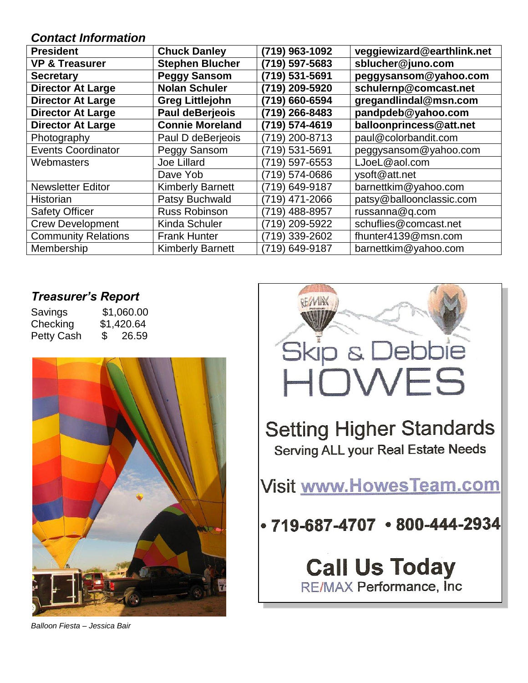#### *Contact Information*

| <b>President</b>           | <b>Chuck Danley</b>     | (719) 963-1092 | veggiewizard@earthlink.net |
|----------------------------|-------------------------|----------------|----------------------------|
| <b>VP &amp; Treasurer</b>  | <b>Stephen Blucher</b>  | (719) 597-5683 | sblucher@juno.com          |
| <b>Secretary</b>           | <b>Peggy Sansom</b>     | (719) 531-5691 | peggysansom@yahoo.com      |
| <b>Director At Large</b>   | <b>Nolan Schuler</b>    | (719) 209-5920 | schulernp@comcast.net      |
| <b>Director At Large</b>   | <b>Greg Littlejohn</b>  | (719) 660-6594 | gregandlindal@msn.com      |
| <b>Director At Large</b>   | Paul deBerjeois         | (719) 266-8483 | pandpdeb@yahoo.com         |
| <b>Director At Large</b>   | <b>Connie Moreland</b>  | (719) 574-4619 | balloonprincess@att.net    |
| Photography                | Paul D deBerjeois       | (719) 200-8713 | paul@colorbandit.com       |
| <b>Events Coordinator</b>  | Peggy Sansom            | (719) 531-5691 | peggysansom@yahoo.com      |
| Webmasters                 | Joe Lillard             | (719) 597-6553 | LJoeL@aol.com              |
|                            | Dave Yob                | (719) 574-0686 | ysoft@att.net              |
| <b>Newsletter Editor</b>   | <b>Kimberly Barnett</b> | (719) 649-9187 | barnettkim@yahoo.com       |
| Historian                  | Patsy Buchwald          | (719) 471-2066 | patsy@balloonclassic.com   |
| <b>Safety Officer</b>      | Russ Robinson           | (719) 488-8957 | russanna@q.com             |
| <b>Crew Development</b>    | Kinda Schuler           | 719) 209-5922  | schuflies@comcast.net      |
| <b>Community Relations</b> | <b>Frank Hunter</b>     | (719) 339-2602 | fhunter4139@msn.com        |
| Membership                 | <b>Kimberly Barnett</b> | (719) 649-9187 | barnettkim@yahoo.com       |

# *Treasurer's Report*

| Savings           | \$1,060.00 |
|-------------------|------------|
| Checking          | \$1,420.64 |
| <b>Petty Cash</b> | \$26.59    |



*Balloon Fiesta – Jessica Bair*

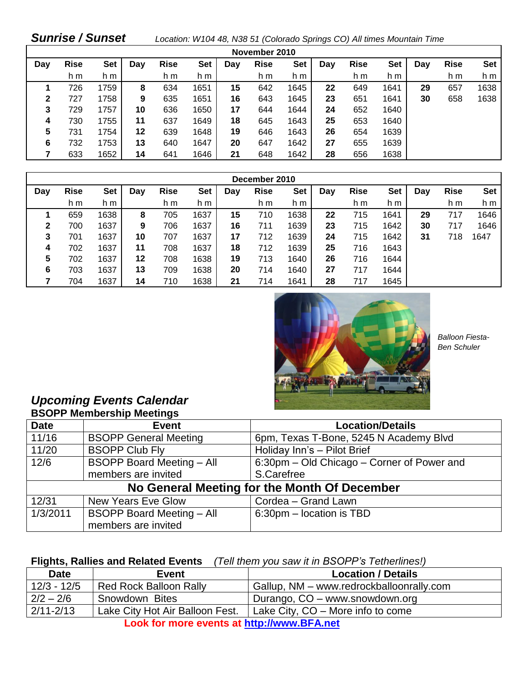### *Sunrise / Sunset Location: W104 48, N38 51 (Colorado Springs CO) All times Mountain Time*

| November 2010 |             |      |     |             |      |     |             |            |     |             |            |     |             |            |
|---------------|-------------|------|-----|-------------|------|-----|-------------|------------|-----|-------------|------------|-----|-------------|------------|
| Day           | <b>Rise</b> | Set  | Day | <b>Rise</b> | Set  | Dav | <b>Rise</b> | <b>Set</b> | Day | <b>Rise</b> | <b>Set</b> | Day | <b>Rise</b> | <b>Set</b> |
|               | h m         | h m  |     | h m         | h m  |     | h m         | h m        |     | h m         | h m        |     | h m         | h m        |
|               | 726         | 1759 | 8   | 634         | 1651 | 15  | 642         | 1645       | 22  | 649         | 1641       | 29  | 657         | 1638       |
| $\mathbf{2}$  | 727         | 1758 | 9   | 635         | 1651 | 16  | 643         | 1645       | 23  | 651         | 1641       | 30  | 658         | 1638       |
| 3             | 729         | 1757 | 10  | 636         | 1650 | 17  | 644         | 1644       | 24  | 652         | 1640       |     |             |            |
| 4             | 730         | 1755 | 11  | 637         | 1649 | 18  | 645         | 1643       | 25  | 653         | 1640       |     |             |            |
| 5             | 731         | 1754 | 12  | 639         | 1648 | 19  | 646         | 1643       | 26  | 654         | 1639       |     |             |            |
| 6             | 732         | 1753 | 13  | 640         | 1647 | 20  | 647         | 1642       | 27  | 655         | 1639       |     |             |            |
|               | 633         | 1652 | 14  | 641         | 1646 | 21  | 648         | 1642       | 28  | 656         | 1638       |     |             |            |

| December 2010 |             |      |     |             |      |     |             |            |     |             |            |     |             |            |
|---------------|-------------|------|-----|-------------|------|-----|-------------|------------|-----|-------------|------------|-----|-------------|------------|
| Day           | <b>Rise</b> | Set  | Day | <b>Rise</b> | Set  | Day | <b>Rise</b> | <b>Set</b> | Day | <b>Rise</b> | <b>Set</b> | Day | <b>Rise</b> | <b>Set</b> |
|               | h m         | h m  |     | h m         | h m  |     | h m         | h m        |     | h m         | h m        |     | h m         | h m        |
|               | 659         | 1638 | 8   | 705         | 1637 | 15  | 710         | 1638       | 22  | 715         | 1641       | 29  | 717         | 1646       |
| 2             | 700         | 1637 | 9   | 706         | 1637 | 16  | 711         | 1639       | 23  | 715         | 1642       | 30  | 717         | 1646       |
| 3             | 701         | 1637 | 10  | 707         | 1637 | 17  | 712         | 1639       | 24  | 715         | 1642       | 31  | 718         | 1647       |
| 4             | 702         | 1637 | 11  | 708         | 1637 | 18  | 712         | 1639       | 25  | 716         | 1643       |     |             |            |
| 5             | 702         | 1637 | 12  | 708         | 1638 | 19  | 713         | 1640       | 26  | 716         | 1644       |     |             |            |
| 6             | 703         | 1637 | 13  | 709         | 1638 | 20  | 714         | 1640       | 27  | 717         | 1644       |     |             |            |
|               | 704         | 1637 | 14  | 710         | 1638 | 21  | 714         | 1641       | 28  | 717         | 1645       |     |             |            |



 *Balloon Fiesta- Ben Schuler*

#### *Upcoming Events Calendar* **BSOPP Membership Meetings**

| <b>POOL FINGHINGFORD MOONING</b> |                                  |                                              |  |  |  |  |  |
|----------------------------------|----------------------------------|----------------------------------------------|--|--|--|--|--|
| <b>Date</b>                      | <b>Event</b>                     | <b>Location/Details</b>                      |  |  |  |  |  |
| 11/16                            | <b>BSOPP General Meeting</b>     | 6pm, Texas T-Bone, 5245 N Academy Blvd       |  |  |  |  |  |
| 11/20                            | <b>BSOPP Club Fly</b>            | Holiday Inn's - Pilot Brief                  |  |  |  |  |  |
| 12/6                             | <b>BSOPP Board Meeting - All</b> | 6:30pm – Old Chicago – Corner of Power and   |  |  |  |  |  |
|                                  | members are invited              | S.Carefree                                   |  |  |  |  |  |
|                                  |                                  | No General Meeting for the Month Of December |  |  |  |  |  |
| 12/31                            | <b>New Years Eve Glow</b>        | Cordea - Grand Lawn                          |  |  |  |  |  |
| 1/3/2011                         | <b>BSOPP Board Meeting - All</b> | 6:30pm - location is TBD                     |  |  |  |  |  |
|                                  | members are invited              |                                              |  |  |  |  |  |

#### **Flights, Rallies and Related Events** *(Tell them you saw it in BSOPP's Tetherlines!)*

| <b>Date</b>                                                                           | <b>Event</b>                  | <b>Location / Details</b>                |  |  |  |
|---------------------------------------------------------------------------------------|-------------------------------|------------------------------------------|--|--|--|
| $12/3 - 12/5$                                                                         | <b>Red Rock Balloon Rally</b> | Gallup, NM – www.redrockballoonrally.com |  |  |  |
| $2/2 - 2/6$                                                                           | Snowdown Bites                | Durango, CO – www.snowdown.org           |  |  |  |
| $2/11 - 2/13$<br>Lake City Hot Air Balloon Fest.<br>Lake City, CO – More info to come |                               |                                          |  |  |  |
| Look for more events at http://www.BFA.net                                            |                               |                                          |  |  |  |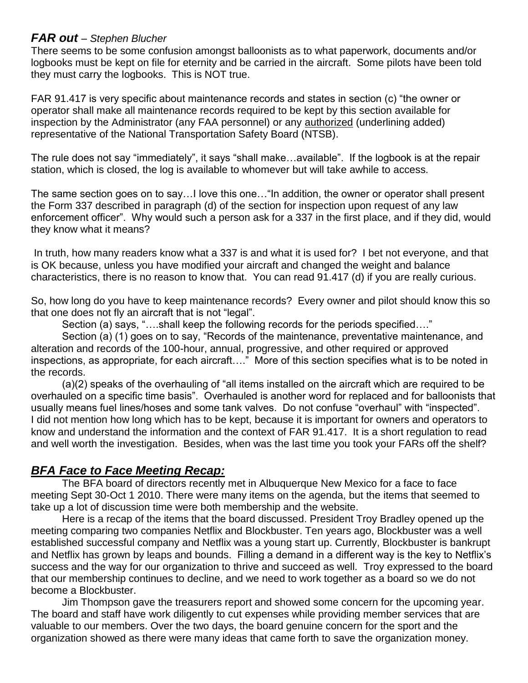#### *FAR out – Stephen Blucher*

There seems to be some confusion amongst balloonists as to what paperwork, documents and/or logbooks must be kept on file for eternity and be carried in the aircraft. Some pilots have been told they must carry the logbooks. This is NOT true.

FAR 91.417 is very specific about maintenance records and states in section (c) "the owner or operator shall make all maintenance records required to be kept by this section available for inspection by the Administrator (any FAA personnel) or any authorized (underlining added) representative of the National Transportation Safety Board (NTSB).

The rule does not say "immediately", it says "shall make…available". If the logbook is at the repair station, which is closed, the log is available to whomever but will take awhile to access.

The same section goes on to say…I love this one…"In addition, the owner or operator shall present the Form 337 described in paragraph (d) of the section for inspection upon request of any law enforcement officer". Why would such a person ask for a 337 in the first place, and if they did, would they know what it means?

In truth, how many readers know what a 337 is and what it is used for? I bet not everyone, and that is OK because, unless you have modified your aircraft and changed the weight and balance characteristics, there is no reason to know that. You can read 91.417 (d) if you are really curious.

So, how long do you have to keep maintenance records? Every owner and pilot should know this so that one does not fly an aircraft that is not "legal".

Section (a) says, "….shall keep the following records for the periods specified…."

Section (a) (1) goes on to say, "Records of the maintenance, preventative maintenance, and alteration and records of the 100-hour, annual, progressive, and other required or approved inspections, as appropriate, for each aircraft…." More of this section specifies what is to be noted in the records.

(a)(2) speaks of the overhauling of "all items installed on the aircraft which are required to be overhauled on a specific time basis". Overhauled is another word for replaced and for balloonists that usually means fuel lines/hoses and some tank valves. Do not confuse "overhaul" with "inspected". I did not mention how long which has to be kept, because it is important for owners and operators to know and understand the information and the context of FAR 91.417. It is a short regulation to read and well worth the investigation. Besides, when was the last time you took your FARs off the shelf?

## *BFA Face to Face Meeting Recap:*

The BFA board of directors recently met in Albuquerque New Mexico for a face to face meeting Sept 30-Oct 1 2010. There were many items on the agenda, but the items that seemed to take up a lot of discussion time were both membership and the website.

Here is a recap of the items that the board discussed. President Troy Bradley opened up the meeting comparing two companies Netflix and Blockbuster. Ten years ago, Blockbuster was a well established successful company and Netflix was a young start up. Currently, Blockbuster is bankrupt and Netflix has grown by leaps and bounds. Filling a demand in a different way is the key to Netflix's success and the way for our organization to thrive and succeed as well. Troy expressed to the board that our membership continues to decline, and we need to work together as a board so we do not become a Blockbuster.

Jim Thompson gave the treasurers report and showed some concern for the upcoming year. The board and staff have work diligently to cut expenses while providing member services that are valuable to our members. Over the two days, the board genuine concern for the sport and the organization showed as there were many ideas that came forth to save the organization money.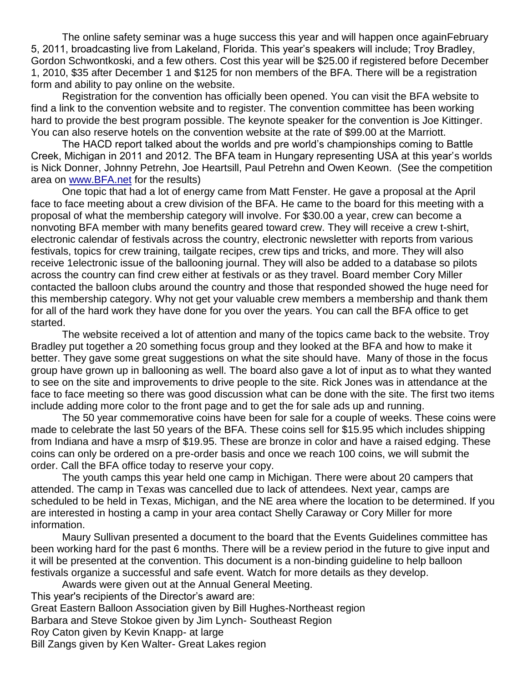The online safety seminar was a huge success this year and will happen once againFebruary 5, 2011, broadcasting live from Lakeland, Florida. This year's speakers will include; Troy Bradley, Gordon Schwontkoski, and a few others. Cost this year will be \$25.00 if registered before December 1, 2010, \$35 after December 1 and \$125 for non members of the BFA. There will be a registration form and ability to pay online on the website.

Registration for the convention has officially been opened. You can visit the BFA website to find a link to the convention website and to register. The convention committee has been working hard to provide the best program possible. The keynote speaker for the convention is Joe Kittinger. You can also reserve hotels on the convention website at the rate of \$99.00 at the Marriott.

The HACD report talked about the worlds and pre world's championships coming to Battle Creek, Michigan in 2011 and 2012. The BFA team in Hungary representing USA at this year's worlds is Nick Donner, Johnny Petrehn, Joe Heartsill, Paul Petrehn and Owen Keown. (See the competition area on [www.BFA.net](http://www.bfa.net/) for the results)

One topic that had a lot of energy came from Matt Fenster. He gave a proposal at the April face to face meeting about a crew division of the BFA. He came to the board for this meeting with a proposal of what the membership category will involve. For \$30.00 a year, crew can become a nonvoting BFA member with many benefits geared toward crew. They will receive a crew t-shirt, electronic calendar of festivals across the country, electronic newsletter with reports from various festivals, topics for crew training, tailgate recipes, crew tips and tricks, and more. They will also receive 1electronic issue of the ballooning journal. They will also be added to a database so pilots across the country can find crew either at festivals or as they travel. Board member Cory Miller contacted the balloon clubs around the country and those that responded showed the huge need for this membership category. Why not get your valuable crew members a membership and thank them for all of the hard work they have done for you over the years. You can call the BFA office to get started.

The website received a lot of attention and many of the topics came back to the website. Troy Bradley put together a 20 something focus group and they looked at the BFA and how to make it better. They gave some great suggestions on what the site should have. Many of those in the focus group have grown up in ballooning as well. The board also gave a lot of input as to what they wanted to see on the site and improvements to drive people to the site. Rick Jones was in attendance at the face to face meeting so there was good discussion what can be done with the site. The first two items include adding more color to the front page and to get the for sale ads up and running.

The 50 year commemorative coins have been for sale for a couple of weeks. These coins were made to celebrate the last 50 years of the BFA. These coins sell for \$15.95 which includes shipping from Indiana and have a msrp of \$19.95. These are bronze in color and have a raised edging. These coins can only be ordered on a pre-order basis and once we reach 100 coins, we will submit the order. Call the BFA office today to reserve your copy.

The youth camps this year held one camp in Michigan. There were about 20 campers that attended. The camp in Texas was cancelled due to lack of attendees. Next year, camps are scheduled to be held in Texas, Michigan, and the NE area where the location to be determined. If you are interested in hosting a camp in your area contact Shelly Caraway or Cory Miller for more information.

Maury Sullivan presented a document to the board that the Events Guidelines committee has been working hard for the past 6 months. There will be a review period in the future to give input and it will be presented at the convention. This document is a non-binding guideline to help balloon festivals organize a successful and safe event. Watch for more details as they develop.

Awards were given out at the Annual General Meeting. This year's recipients of the Director's award are: Great Eastern Balloon Association given by Bill Hughes-Northeast region Barbara and Steve Stokoe given by Jim Lynch- Southeast Region Roy Caton given by Kevin Knapp- at large Bill Zangs given by Ken Walter- Great Lakes region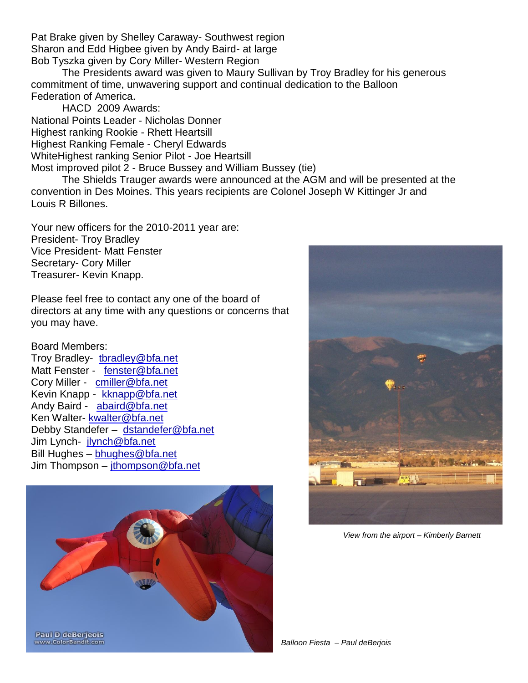Pat Brake given by Shelley Caraway- Southwest region Sharon and Edd Higbee given by Andy Baird- at large Bob Tyszka given by Cory Miller- Western Region

The Presidents award was given to Maury Sullivan by Troy Bradley for his generous commitment of time, unwavering support and continual dedication to the Balloon Federation of America.

HACD 2009 Awards: National Points Leader - Nicholas Donner Highest ranking Rookie - Rhett Heartsill Highest Ranking Female - Cheryl Edwards WhiteHighest ranking Senior Pilot - Joe Heartsill Most improved pilot 2 - Bruce Bussey and William Bussey (tie)

The Shields Trauger awards were announced at the AGM and will be presented at the convention in Des Moines. This years recipients are Colonel Joseph W Kittinger Jr and Louis R Billones.

Your new officers for the 2010-2011 year are: President- Troy Bradley Vice President- Matt Fenster Secretary- Cory Miller Treasurer- Kevin Knapp.

Please feel free to contact any one of the board of directors at any time with any questions or concerns that you may have.

#### Board Members:

Troy Bradley- thradley@bfa.net Matt Fenster - [fenster@bfa.net](mailto:fenster@bfa.net) Cory Miller - [cmiller@bfa.net](mailto:cmiller@bfa.net) Kevin Knapp - [kknapp@bfa.net](mailto:kknapp@bfa.net) Andy Baird - [abaird@bfa.net](mailto:abaird@bfa.net) Ken Walter- [kwalter@bfa.net](mailto:kwalter@bfa.net) Debby Standefer – [dstandefer@bfa.net](mailto:dstandefer@bfa.net) Jim Lynch- [jlynch@bfa.net](mailto:jlynch@bfa.net) Bill Hughes – [bhughes@bfa.net](mailto:bhughes@bfa.net) Jim Thompson – [jthompson@bfa.net](mailto:jthompson@bfa.net)





*View from the airport – Kimberly Barnett*

*Balloon Fiesta – Paul deBerjois*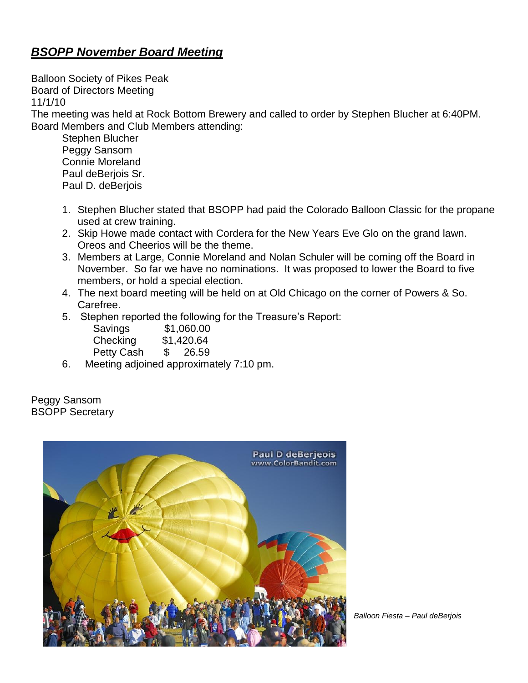# *BSOPP November Board Meeting*

Balloon Society of Pikes Peak Board of Directors Meeting 11/1/10 The meeting was held at Rock Bottom Brewery and called to order by Stephen Blucher at 6:40PM. Board Members and Club Members attending: Stephen Blucher

Peggy Sansom Connie Moreland Paul deBerjois Sr. Paul D. deBerjois

- 1. Stephen Blucher stated that BSOPP had paid the Colorado Balloon Classic for the propane used at crew training.
- 2. Skip Howe made contact with Cordera for the New Years Eve Glo on the grand lawn. Oreos and Cheerios will be the theme.
- 3. Members at Large, Connie Moreland and Nolan Schuler will be coming off the Board in November. So far we have no nominations. It was proposed to lower the Board to five members, or hold a special election.
- 4. The next board meeting will be held on at Old Chicago on the corner of Powers & So. Carefree.
- 5. Stephen reported the following for the Treasure's Report:

| Savings    | \$1,060.00 |  |
|------------|------------|--|
| Checking   | \$1,420.64 |  |
| Petty Cash | \$26.59    |  |

6. Meeting adjoined approximately 7:10 pm.

Peggy Sansom BSOPP Secretary



*Balloon Fiesta – Paul deBerjois*